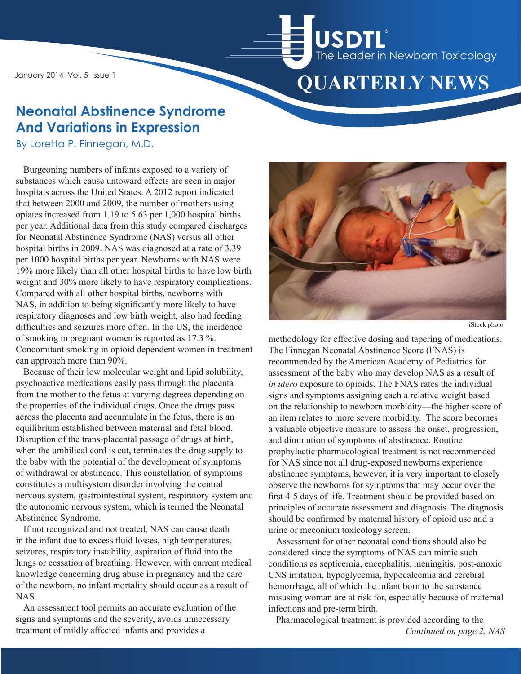January 2014 Vol. 5 Issue 1



# **Neonatal Abstinence Syndrome And Variations in Expression**

By Loretta P. Finnegan, M.D.

Burgeoning numbers of infants exposed to a variety of substances which cause untoward effects are seen in major hospitals across the United States. A 2012 report indicated that between 2000 and 2009, the number of mothers using opiates increased from 1.19 to 5.63 per 1,000 hospital births per year. Additional data from this study compared discharges for Neonatal Abstinence Syndrome (NAS) versus all other hospital births in 2009. NAS was diagnosed at a rate of 3.39 per 1000 hospital births per year. Newborns with NAS were 19% more likely than all other hospital births to have low birth weight and 30% more likely to have respiratory complications. Compared with all other hospital births, newborns with NAS, in addition to being significantly more likely to have respiratory diagnoses and low birth weight, also had feeding difficulties and seizures more often. In the US, the incidence of smoking in pregnant women is reported as 17.3 %. Concomitant smoking in opioid dependent women in treatment can approach more than 90%.

Because of their low molecular weight and lipid solubility, psychoactive medications easily pass through the placenta from the mother to the fetus at varying degrees depending on the properties of the individual drugs. Once the drugs pass across the placenta and accumulate in the fetus, there is an equilibrium established between maternal and fetal blood. Disruption of the trans-placental passage of drugs at birth, when the umbilical cord is cut, terminates the drug supply to the baby with the potential of the development of symptoms of withdrawal or abstinence. This constellation of symptoms constitutes a multisystem disorder involving the central nervous system, gastrointestinal system, respiratory system and the autonomic nervous system, which is termed the Neonatal Abstinence Syndrome.

If not recognized and not treated, NAS can cause death in the infant due to excess fluid losses, high temperatures, seizures, respiratory instability, aspiration of fluid into the lungs or cessation of breathing. However, with current medical knowledge concerning drug abuse in pregnancy and the care of the newborn, no infant mortality should occur as a result of NAS.

An assessment tool permits an accurate evaluation of the signs and symptoms and the severity, avoids unnecessary treatment of mildly affected infants and provides a



iStock photo

methodology for effective dosing and tapering of medications. The Finnegan Neonatal Abstinence Score (FNAS) is recommended by the American Academy of Pediatrics for assessment of the baby who may develop NAS as a result of *in utero* exposure to opioids. The FNAS rates the individual signs and symptoms assigning each a relative weight based on the relationship to newborn morbidity—the higher score of an item relates to more severe morbidity. The score becomes a valuable objective measure to assess the onset, progression, and diminution of symptoms of abstinence. Routine prophylactic pharmacological treatment is not recommended for NAS since not all drug-exposed newborns experience abstinence symptoms, however, it is very important to closely observe the newborns for symptoms that may occur over the first 4-5 days of life. Treatment should be provided based on principles of accurate assessment and diagnosis. The diagnosis should be confirmed by maternal history of opioid use and a urine or meconium toxicology screen.

Assessment for other neonatal conditions should also be considered since the symptoms of NAS can mimic such conditions as septicemia, encephalitis, meningitis, post-anoxic CNS irritation, hypoglycemia, hypocalcemia and cerebral hemorrhage, all of which the infant born to the substance misusing woman are at risk for, especially because of maternal infections and pre-term birth.

Pharmacological treatment is provided according to the *Continued on page 2, NAS*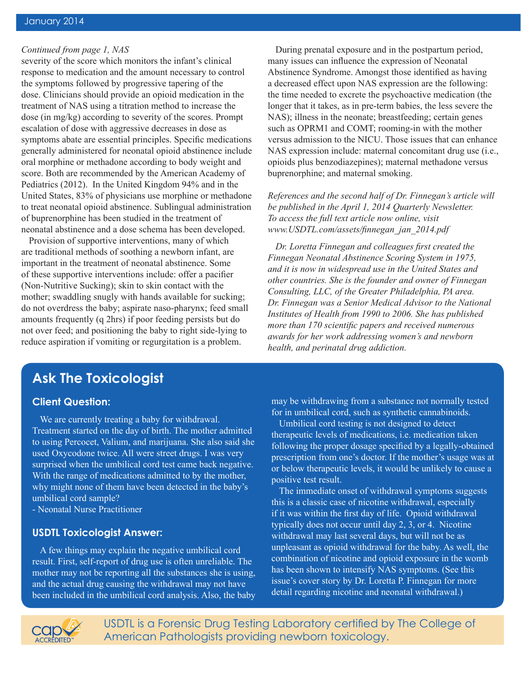#### *Continued from page 1, NAS*

severity of the score which monitors the infant's clinical response to medication and the amount necessary to control the symptoms followed by progressive tapering of the dose. Clinicians should provide an opioid medication in the treatment of NAS using a titration method to increase the dose (in mg/kg) according to severity of the scores. Prompt escalation of dose with aggressive decreases in dose as symptoms abate are essential principles. Specific medications generally administered for neonatal opioid abstinence include oral morphine or methadone according to body weight and score. Both are recommended by the American Academy of Pediatrics (2012). In the United Kingdom 94% and in the United States, 83% of physicians use morphine or methadone to treat neonatal opioid abstinence. Sublingual administration of buprenorphine has been studied in the treatment of neonatal abstinence and a dose schema has been developed.

Provision of supportive interventions, many of which are traditional methods of soothing a newborn infant, are important in the treatment of neonatal abstinence. Some of these supportive interventions include: offer a pacifier (Non-Nutritive Sucking); skin to skin contact with the mother; swaddling snugly with hands available for sucking; do not overdress the baby; aspirate naso-pharynx; feed small amounts frequently (q 2hrs) if poor feeding persists but do not over feed; and positioning the baby to right side-lying to reduce aspiration if vomiting or regurgitation is a problem.

During prenatal exposure and in the postpartum period, many issues can influence the expression of Neonatal Abstinence Syndrome. Amongst those identified as having a decreased effect upon NAS expression are the following: the time needed to excrete the psychoactive medication (the longer that it takes, as in pre-term babies, the less severe the NAS); illness in the neonate; breastfeeding; certain genes such as OPRM1 and COMT; rooming-in with the mother versus admission to the NICU. Those issues that can enhance NAS expression include: maternal concomitant drug use (i.e., opioids plus benzodiazepines); maternal methadone versus buprenorphine; and maternal smoking.

*References and the second half of Dr. Finnegan's article will be published in the April 1, 2014 Quarterly Newsletter. To access the full text article now online, visit www.USDTL.com/assets/finnegan\_jan\_2014.pdf*

*Dr. Loretta Finnegan and colleagues first created the Finnegan Neonatal Abstinence Scoring System in 1975, and it is now in widespread use in the United States and other countries. She is the founder and owner of Finnegan Consulting, LLC, of the Greater Philadelphia, PA area. Dr. Finnegan was a Senior Medical Advisor to the National Institutes of Health from 1990 to 2006. She has published more than 170 scientific papers and received numerous awards for her work addressing women's and newborn health, and perinatal drug addiction.*

## **Ask The Toxicologist**

#### **Client Question:**

We are currently treating a baby for withdrawal. Treatment started on the day of birth. The mother admitted to using Percocet, Valium, and marijuana. She also said she used Oxycodone twice. All were street drugs. I was very surprised when the umbilical cord test came back negative. With the range of medications admitted to by the mother, why might none of them have been detected in the baby's umbilical cord sample?

- Neonatal Nurse Practitioner

#### **USDTL Toxicologist Answer:**

A few things may explain the negative umbilical cord result. First, self-report of drug use is often unreliable. The mother may not be reporting all the substances she is using, and the actual drug causing the withdrawal may not have been included in the umbilical cord analysis. Also, the baby may be withdrawing from a substance not normally tested for in umbilical cord, such as synthetic cannabinoids.

Umbilical cord testing is not designed to detect therapeutic levels of medications, i.e. medication taken following the proper dosage specified by a legally-obtained prescription from one's doctor. If the mother's usage was at or below therapeutic levels, it would be unlikely to cause a positive test result.

The immediate onset of withdrawal symptoms suggests this is a classic case of nicotine withdrawal, especially if it was within the first day of life. Opioid withdrawal typically does not occur until day 2, 3, or 4. Nicotine withdrawal may last several days, but will not be as unpleasant as opioid withdrawal for the baby. As well, the combination of nicotine and opioid exposure in the womb has been shown to intensify NAS symptoms. (See this issue's cover story by Dr. Loretta P. Finnegan for more detail regarding nicotine and neonatal withdrawal.)



USDTL is a Forensic Drug Testing Laboratory certified by The College of American Pathologists providing newborn toxicology.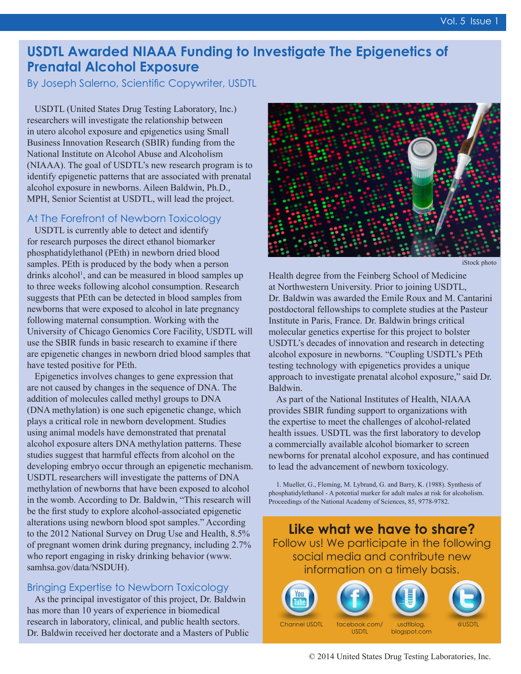## **USDTL Awarded NIAAA Funding to Investigate The Epigenetics of Prenatal Alcohol Exposure**

By Joseph Salerno, Scientific Copywriter, USDTL

USDTL (United States Drug Testing Laboratory, Inc.) researchers will investigate the relationship between in utero alcohol exposure and epigenetics using Small Business Innovation Research (SBIR) funding from the National Institute on Alcohol Abuse and Alcoholism (NIAAA). The goal of USDTL's new research program is to identify epigenetic patterns that are associated with prenatal alcohol exposure in newborns. Aileen Baldwin, Ph.D., MPH, Senior Scientist at USDTL, will lead the project.

#### At The Forefront of Newborn Toxicology

USDTL is currently able to detect and identify for research purposes the direct ethanol biomarker phosphatidylethanol (PEth) in newborn dried blood samples. PEth is produced by the body when a person drinks alcohol<sup>1</sup>, and can be measured in blood samples up to three weeks following alcohol consumption. Research suggests that PEth can be detected in blood samples from newborns that were exposed to alcohol in late pregnancy following maternal consumption. Working with the University of Chicago Genomics Core Facility, USDTL will use the SBIR funds in basic research to examine if there are epigenetic changes in newborn dried blood samples that have tested positive for PEth.

Epigenetics involves changes to gene expression that are not caused by changes in the sequence of DNA. The addition of molecules called methyl groups to DNA (DNA methylation) is one such epigenetic change, which plays a critical role in newborn development. Studies using animal models have demonstrated that prenatal alcohol exposure alters DNA methylation patterns. These studies suggest that harmful effects from alcohol on the developing embryo occur through an epigenetic mechanism. USDTL researchers will investigate the patterns of DNA methylation of newborns that have been exposed to alcohol in the womb. According to Dr. Baldwin, "This research will be the first study to explore alcohol-associated epigenetic alterations using newborn blood spot samples." According to the 2012 National Survey on Drug Use and Health, 8.5% of pregnant women drink during pregnancy, including 2.7% who report engaging in risky drinking behavior (www. samhsa.gov/data/NSDUH).

### Bringing Expertise to Newborn Toxicology

As the principal investigator of this project, Dr. Baldwin has more than 10 years of experience in biomedical research in laboratory, clinical, and public health sectors. Dr. Baldwin received her doctorate and a Masters of Public



iStock photo

Health degree from the Feinberg School of Medicine at Northwestern University. Prior to joining USDTL, Dr. Baldwin was awarded the Emile Roux and M. Cantarini postdoctoral fellowships to complete studies at the Pasteur Institute in Paris, France. Dr. Baldwin brings critical molecular genetics expertise for this project to bolster USDTL's decades of innovation and research in detecting alcohol exposure in newborns. "Coupling USDTL's PEth testing technology with epigenetics provides a unique approach to investigate prenatal alcohol exposure," said Dr. Baldwin.

As part of the National Institutes of Health, NIAAA provides SBIR funding support to organizations with the expertise to meet the challenges of alcohol-related health issues. USDTL was the first laboratory to develop a commercially available alcohol biomarker to screen newborns for prenatal alcohol exposure, and has continued to lead the advancement of newborn toxicology.

1. Mueller, G., Fleming, M. Lybrand, G. and Barry, K. (1988). Synthesis of phosphatidylethanol - A potential marker for adult males at risk for alcoholism. Proceedings of the National Academy of Sciences, 85, 9778-9782.

**Like what we have to share?** Follow us! We participate in the following social media and contribute new information on a timely basis.